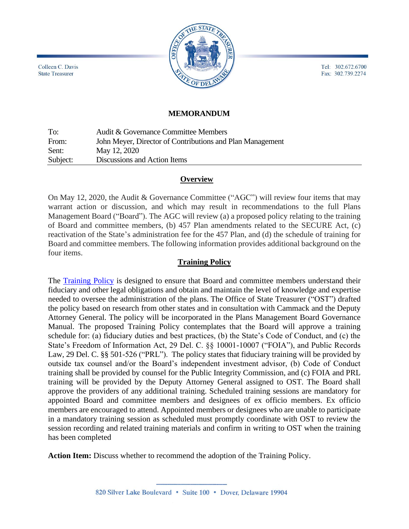Tel: 302.672.6700 Fax: 302.739.2274



# **MEMORANDUM**

To: Audit & Governance Committee Members From: John Meyer, Director of Contributions and Plan Management Sent: May 12, 2020 Subject: Discussions and Action Items

#### **Overview**

On May 12, 2020, the Audit & Governance Committee ("AGC") will review four items that may warrant action or discussion, and which may result in recommendations to the full Plans Management Board ("Board"). The AGC will review (a) a proposed policy relating to the training of Board and committee members, (b) 457 Plan amendments related to the SECURE Act, (c) reactivation of the State's administration fee for the 457 Plan, and (d) the schedule of training for Board and committee members. The following information provides additional background on the four items.

#### **Training Policy**

The [Training](https://simbli.eboardsolutions.com/Meetings/Attachment.aspx?S=190006&AID=51743&MID=2609) Policy is designed to ensure that Board and committee members understand their fiduciary and other legal obligations and obtain and maintain the level of knowledge and expertise needed to oversee the administration of the plans. The Office of State Treasurer ("OST") drafted the policy based on research from other states and in consultation with Cammack and the Deputy Attorney General. The policy will be incorporated in the Plans Management Board Governance Manual. The proposed Training Policy contemplates that the Board will approve a training schedule for: (a) fiduciary duties and best practices, (b) the State's Code of Conduct, and (c) the State's Freedom of Information Act, 29 Del. C. §§ 10001-10007 ("FOIA"), and Public Records Law, 29 Del. C. §§ 501-526 ("PRL"). The policy states that fiduciary training will be provided by outside tax counsel and/or the Board's independent investment advisor, (b) Code of Conduct training shall be provided by counsel for the Public Integrity Commission, and (c) FOIA and PRL training will be provided by the Deputy Attorney General assigned to OST. The Board shall approve the providers of any additional training. Scheduled training sessions are mandatory for appointed Board and committee members and designees of ex officio members. Ex officio members are encouraged to attend. Appointed members or designees who are unable to participate in a mandatory training session as scheduled must promptly coordinate with OST to review the session recording and related training materials and confirm in writing to OST when the training has been completed

**Action Item:** Discuss whether to recommend the adoption of the Training Policy.

Colleen C. Davis **State Treasurer**